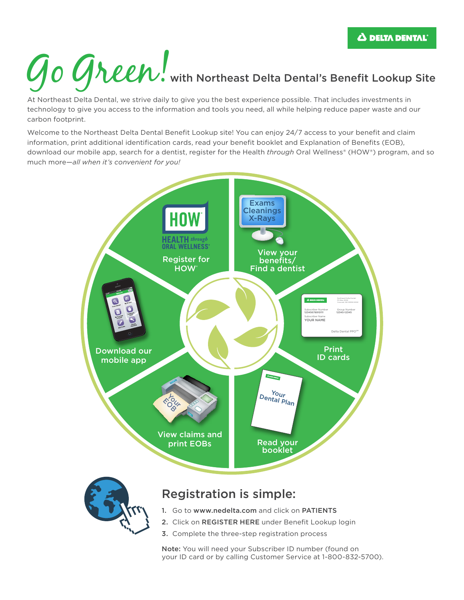# Go Green! with Northeast Delta Dental's Benefit Lookup Site

At Northeast Delta Dental, we strive daily to give you the best experience possible. That includes investments in technology to give you access to the information and tools you need, all while helping reduce paper waste and our carbon footprint.

Welcome to the Northeast Delta Dental Benefit Lookup site! You can enjoy 24/7 access to your benefit and claim information, print additional identification cards, read your benefit booklet and Explanation of Benefits (EOB), download our mobile app, search for a dentist, register for the Health *through* Oral Wellness® (HOW®) program, and so much more—*all when it's convenient for you!*



- 2. Click on REGISTER HERE under Benefit Lookup login
- 3. Complete the three-step registration process

Note: You will need your Subscriber ID number (found on your ID card or by calling Customer Service at 1-800-832-5700).